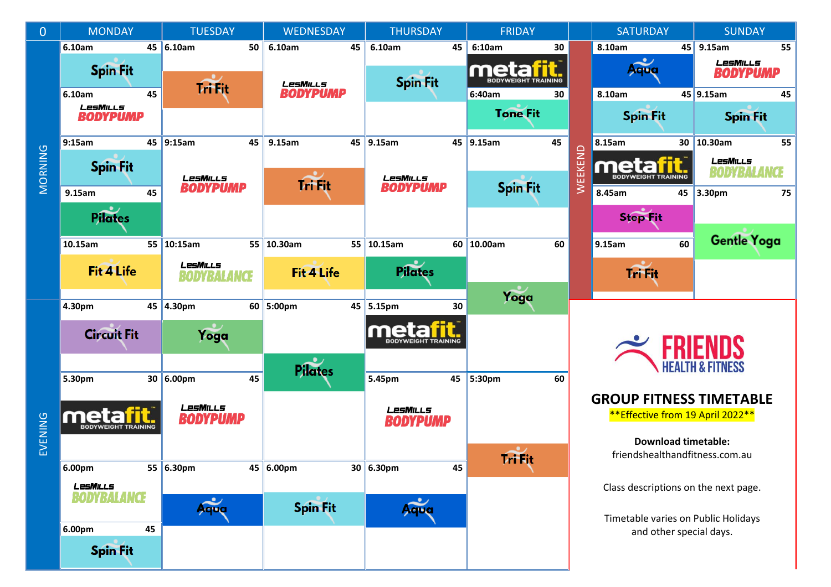